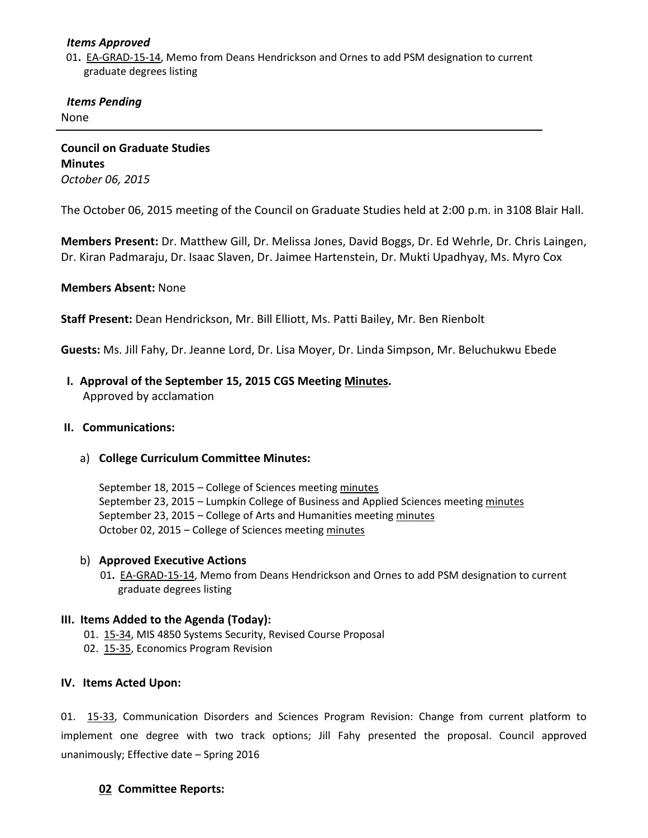## *Items Approved*

 01**.** [EA-GRAD-15-14,](http://castle.eiu.edu/%7Eeiucgs/exec-actions/EA-GRAD-15-14.pdf) Memo from Deans Hendrickson and Ornes to add PSM designation to current graduate degrees listing

# *Items Pending*

None

**Council on Graduate Studies Minutes** *October 06, 2015*

The October 06, 2015 meeting of the Council on Graduate Studies held at 2:00 p.m. in 3108 Blair Hall.

**Members Present:** Dr. Matthew Gill, Dr. Melissa Jones, David Boggs, Dr. Ed Wehrle, Dr. Chris Laingen, Dr. Kiran Padmaraju, Dr. Isaac Slaven, Dr. Jaimee Hartenstein, Dr. Mukti Upadhyay, Ms. Myro Cox

# **Members Absent:** None

**Staff Present:** Dean Hendrickson, Mr. Bill Elliott, Ms. Patti Bailey, Mr. Ben Rienbolt

**Guests:** Ms. Jill Fahy, Dr. Jeanne Lord, Dr. Lisa Moyer, Dr. Linda Simpson, Mr. Beluchukwu Ebede

 **I. Approval of the September 15, 2015 CGS Meeting [Minutes.](http://castle.eiu.edu/eiucgs/currentminutes/Minutes09-15-15.pdf)** Approved by acclamation

#### **II. Communications:**

a) **College Curriculum Committee Minutes:**

September 18, 2015 – College of Sciences meeting [minutes](http://castle.eiu.edu/%7Eeiucgs/currentagendaitems/COSMin09-18-15.pdf) September 23, 2015 – Lumpkin College of Business and Applied Sciences meeting [minutes](http://castle.eiu.edu/%7Eeiucgs/currentagendaitems/LCBASMin09-23-15.pdf) September 23, 2015 – College of Arts and Humanities meetin[g minutes](http://castle.eiu.edu/%7Eeiucgs/currentagendaitems/CAHMin09-23-15.pdf) October 02, 2015 – College of Sciences meetin[g minutes](http://castle.eiu.edu/%7Eeiucgs/currentagendaitems/COSMin10-02-15.pdf)

#### b) **Approved Executive Actions**

01**.** [EA-GRAD-15-14,](http://castle.eiu.edu/%7Eeiucgs/exec-actions/EA-GRAD-15-14.pdf) Memo from Deans Hendrickson and Ornes to add PSM designation to current graduate degrees listing

#### **III. Items Added to the Agenda (Today):**

- 01. [15-34,](http://castle.eiu.edu/%7Eeiucgs/currentagendaitems/agenda15-34.pdf) MIS 4850 Systems Security, Revised Course Proposal
- 02. [15-35,](http://castle.eiu.edu/%7Eeiucgs/currentagendaitems/agenda15-35.pdf) Economics Program Revision

#### **IV. Items Acted Upon:**

01. [15-33,](http://castle.eiu.edu/%7Eeiucgs/currentagendaitems/agenda15-33.pdf) Communication Disorders and Sciences Program Revision: Change from current platform to implement one degree with two track options; Jill Fahy presented the proposal. Council approved unanimously; Effective date – Spring 2016

# **02 Committee Reports:**